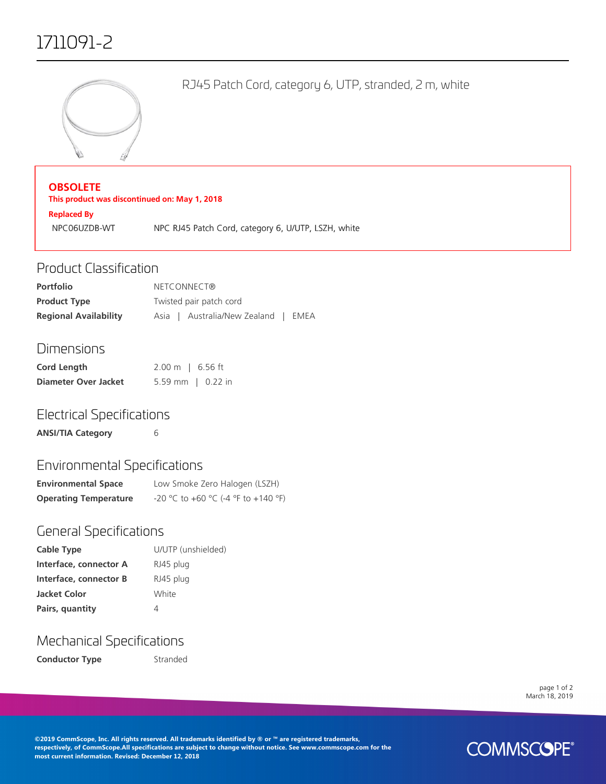# 1711091-2



RJ45 Patch Cord, category 6, UTP, stranded, 2 m, white

#### **OBSOLETE**

**This product was discontinued on: May 1, 2018**

**Replaced By** NPC06UZDB-WT NPC RJ45 Patch Cord, category 6, U/UTP, LSZH, white

#### Product Classification

| <b>Portfolio</b>             | NETCONNECT®                         |  |
|------------------------------|-------------------------------------|--|
| <b>Product Type</b>          | Twisted pair patch cord             |  |
| <b>Regional Availability</b> | Asia   Australia/New Zealand   EMEA |  |

#### Dimensions

| Cord Length          | $2.00 \text{ m}$   6.56 ft |
|----------------------|----------------------------|
| Diameter Over Jacket | 5.59 mm   $0.22$ in        |

### Electrical Specifications

**ANSI/TIA Category** 6

# Environmental Specifications

| <b>Environmental Space</b>   | Low Smoke Zero Halogen (LSZH)       |
|------------------------------|-------------------------------------|
| <b>Operating Temperature</b> | -20 °C to +60 °C (-4 °F to +140 °F) |

### General Specifications

| Cable Type             | U/UTP (unshielded) |
|------------------------|--------------------|
| Interface, connector A | RJ45 plug          |
| Interface, connector B | RJ45 plug          |
| <b>Jacket Color</b>    | White              |
| Pairs, quantity        | 4                  |

### Mechanical Specifications

**Conductor Type Stranded** 

page 1 of 2 March 18, 2019

**©2019 CommScope, Inc. All rights reserved. All trademarks identified by ® or ™ are registered trademarks, respectively, of CommScope.All specifications are subject to change without notice. See www.commscope.com for the most current information. Revised: December 12, 2018**